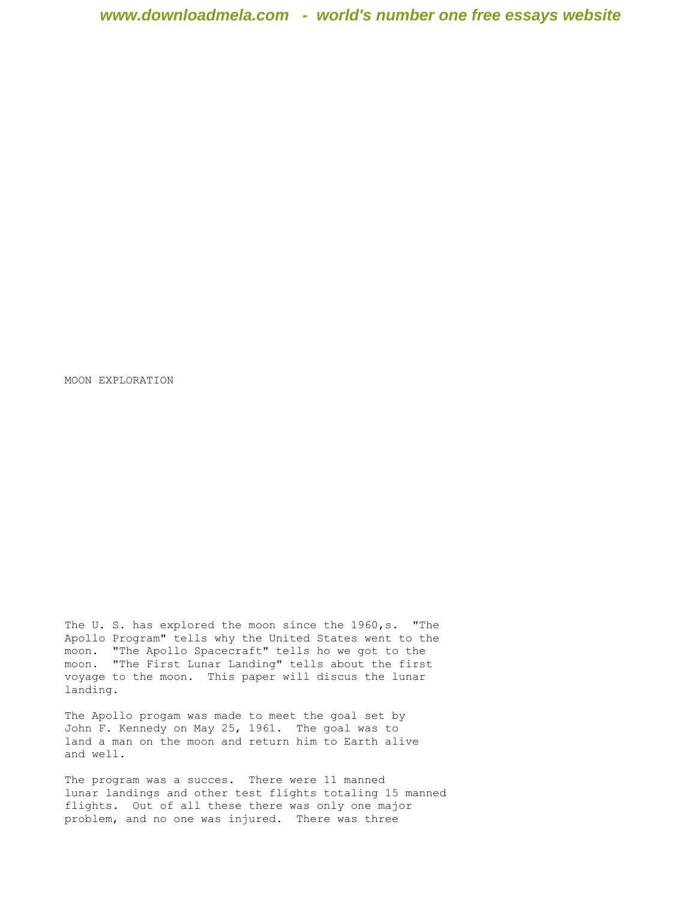MOON EXPLORATION

The U. S. has explored the moon since the 1960, s. "The Apollo Program" tells why the United States went to the moon. "The Apollo Spacecraft" tells ho we got to the moon. "The First Lunar Landing" tells about the first voyage to the moon. This paper will discus the lunar landing.

The Apollo progam was made to meet the goal set by John F. Kennedy on May 25, 1961. The goal was to land a man on the moon and return him to Earth alive and well.

The program was a succes. There were 11 manned lunar landings and other test flights totaling 15 manned flights. Out of all these there was only one major problem, and no one was injured. There was three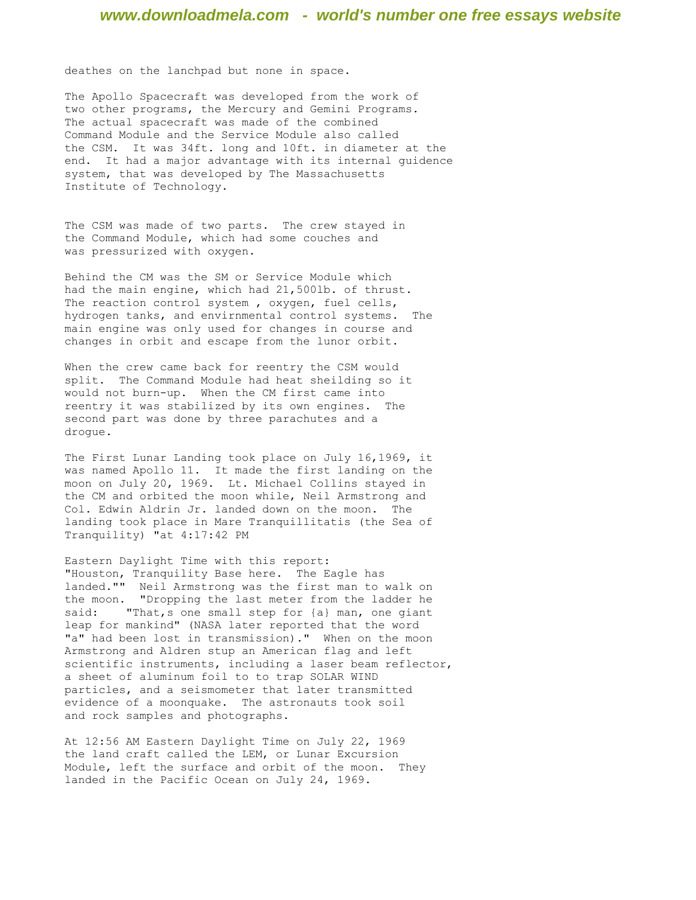## **www.downloadmela.com - world's number one free essays website**

deathes on the lanchpad but none in space.

The Apollo Spacecraft was developed from the work of two other programs, the Mercury and Gemini Programs. The actual spacecraft was made of the combined Command Module and the Service Module also called the CSM. It was 34ft. long and 10ft. in diameter at the end. It had a major advantage with its internal guidence system, that was developed by The Massachusetts Institute of Technology.

The CSM was made of two parts. The crew stayed in the Command Module, which had some couches and was pressurized with oxygen.

Behind the CM was the SM or Service Module which had the main engine, which had 21,500lb. of thrust. The reaction control system , oxygen, fuel cells, hydrogen tanks, and envirnmental control systems. The main engine was only used for changes in course and changes in orbit and escape from the lunor orbit.

When the crew came back for reentry the CSM would split. The Command Module had heat sheilding so it would not burn-up. When the CM first came into reentry it was stabilized by its own engines. The second part was done by three parachutes and a drogue.

The First Lunar Landing took place on July 16,1969, it was named Apollo 11. It made the first landing on the moon on July 20, 1969. Lt. Michael Collins stayed in the CM and orbited the moon while, Neil Armstrong and Col. Edwin Aldrin Jr. landed down on the moon. The landing took place in Mare Tranquillitatis (the Sea of Tranquility) "at 4:17:42 PM

Eastern Daylight Time with this report: "Houston, Tranquility Base here. The Eagle has landed."" Neil Armstrong was the first man to walk on the moon. "Dropping the last meter from the ladder he said: "That, s one small step for {a} man, one giant leap for mankind" (NASA later reported that the word "a" had been lost in transmission)." When on the moon Armstrong and Aldren stup an American flag and left scientific instruments, including a laser beam reflector, a sheet of aluminum foil to to trap SOLAR WIND particles, and a seismometer that later transmitted evidence of a moonquake. The astronauts took soil and rock samples and photographs.

At 12:56 AM Eastern Daylight Time on July 22, 1969 the land craft called the LEM, or Lunar Excursion Module, left the surface and orbit of the moon. They landed in the Pacific Ocean on July 24, 1969.